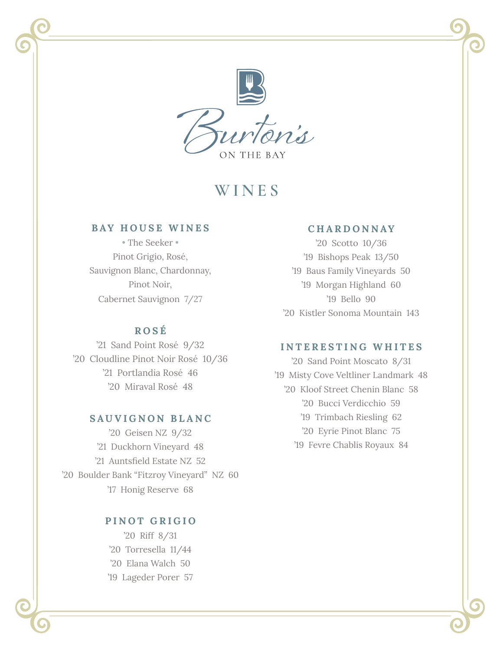

# **WINES**

## **BAY HOUSE WINES**

• The Seeker • Pinot Grigio, Rosé, Sauvignon Blanc, Chardonnay, Pinot Noir, Cabernet Sauvignon 7/27

## **ROS É**

'21 Sand Point Rosé 9/32 '20 Cloudline Pinot Noir Rosé 10/36 '21 Portlandia Rosé 46 '20 Miraval Rosé 48

## **SAUVIGNON BLANC**

'20 Geisen NZ 9/32 '21 Duckhorn Vineyard 48 '21 Auntsfield Estate NZ 52 '20 Boulder Bank "Fitzroy Vineyard" NZ 60 '17 Honig Reserve 68

## **PINOT GRIGIO**

'20 Riff 8/31 '20 Torresella 11/44 '20 Elana Walch 50 '19 Lageder Porer 57

j

# **CHARDONNAY**

'20 Scotto 10/36 '19 Bishops Peak 13/50 '19 Baus Family Vineyards 50 '19 Morgan Highland 60 '19 Bello 90 '20 Kistler Sonoma Mountain 143

## **INTERESTING WHITES**

'20 Sand Point Moscato 8/31 '19 Misty Cove Veltliner Landmark 48 '20 Kloof Street Chenin Blanc 58 '20 Bucci Verdicchio 59 '19 Trimbach Riesling 62 '20 Eyrie Pinot Blanc 75 '19 Fevre Chablis Royaux 84